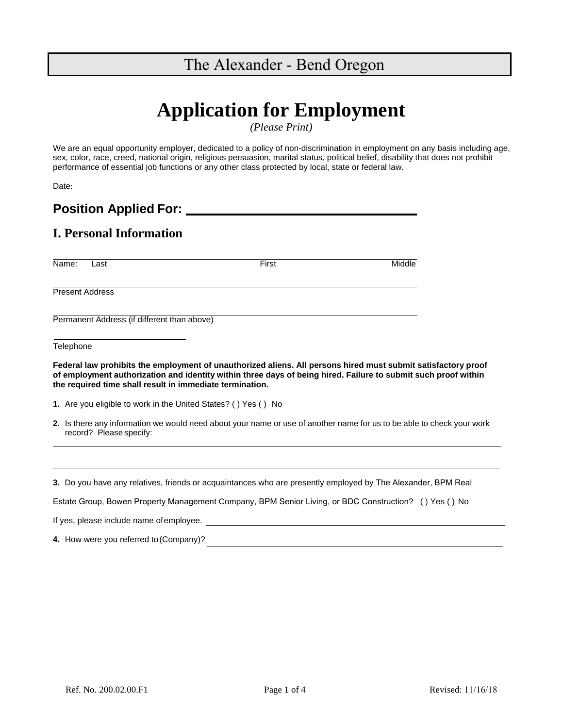# The Alexander - Bend Oregon

# **Application for Employment**

*(Please Print)*

We are an equal opportunity employer, dedicated to a policy of non-discrimination in employment on any basis including age, sex, color, race, creed, national origin, religious persuasion, marital status, political belief, disability that does not prohibit performance of essential job functions or any other class protected by local, state or federal law.

Date:

**Position Applied For:**

## **I. Personal Information**

Name: Last First First First First And Middle

Present Address

Permanent Address (if different than above)

**Telephone** 

**Federal law prohibits the employment of unauthorized aliens. All persons hired must submit satisfactory proof of employment authorization and identity within three days of being hired. Failure to submit such proof within the required time shall result in immediate termination.**

- **1.** Are you eligible to work in the United States? ( ) Yes ( ) No
- **2.** Is there any information we would need about your name or use of another name for us to be able to check your work record? Please specify:

**3.** Do you have any relatives, friends or acquaintances who are presently employed by The Alexander, BPM Real

Estate Group, Bowen Property Management Company, BPM Senior Living, or BDC Construction? ( ) Yes ( ) No

If yes, please include name ofemployee.

**4.** How were you referred to(Company)?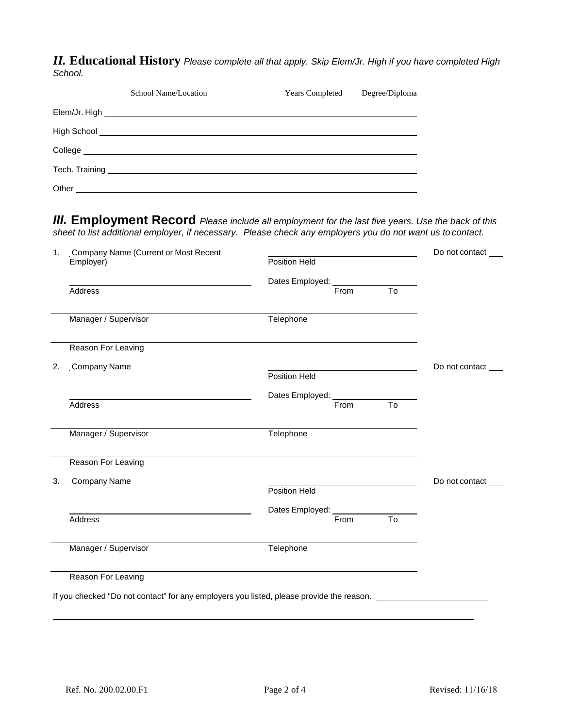*II.* **Educational History** *Please complete all that apply. Skip Elem/Jr. High if you have completed High School.*

|       | School Name/Location                                                                                                                                                                                                                 | <b>Years Completed</b> | Degree/Diploma |  |  |
|-------|--------------------------------------------------------------------------------------------------------------------------------------------------------------------------------------------------------------------------------------|------------------------|----------------|--|--|
|       |                                                                                                                                                                                                                                      |                        |                |  |  |
|       |                                                                                                                                                                                                                                      |                        |                |  |  |
|       | College <u>experimental and the set of the set of the set of the set of the set of the set of the set of the set of the set of the set of the set of the set of the set of the set of the set of the set of the set of the set o</u> |                        |                |  |  |
|       |                                                                                                                                                                                                                                      |                        |                |  |  |
| Other |                                                                                                                                                                                                                                      |                        |                |  |  |

*III.* **Employment Record** *Please include all employment for the last five years. Use the back of this sheet to list additional employer, if necessary. Please check any employers you do not want us to contact.*

| 1. | <b>Company Name (Current or Most Recent</b>                                              |                                                                                                                       | Do not contact |
|----|------------------------------------------------------------------------------------------|-----------------------------------------------------------------------------------------------------------------------|----------------|
|    | Employer)                                                                                | Position Held                                                                                                         |                |
|    |                                                                                          | Dates Employed: _______________                                                                                       |                |
|    | Address                                                                                  | $\overline{T_0}$<br>From                                                                                              |                |
|    | Manager / Supervisor                                                                     | Telephone                                                                                                             |                |
|    | Reason For Leaving                                                                       |                                                                                                                       |                |
| 2. | <b>Company Name</b>                                                                      | <u> 1989 - Johann Barn, mars ann an t-Amhain Aonaich an t-Aonaich an t-Aonaich an t-Aonaich an t-Aonaich an t-Aon</u> | Do not contact |
|    |                                                                                          | Position Held                                                                                                         |                |
|    |                                                                                          | Dates Employed: From To                                                                                               |                |
|    | Address                                                                                  |                                                                                                                       |                |
|    | Manager / Supervisor                                                                     | Telephone                                                                                                             |                |
|    | Reason For Leaving                                                                       |                                                                                                                       |                |
| 3. | <b>Company Name</b>                                                                      |                                                                                                                       | Do not contact |
|    |                                                                                          | Position Held                                                                                                         |                |
|    |                                                                                          | Dates Employed: __________                                                                                            |                |
|    | Address                                                                                  | $\overline{10}$<br>From                                                                                               |                |
|    | Manager / Supervisor                                                                     | Telephone                                                                                                             |                |
|    | Reason For Leaving                                                                       |                                                                                                                       |                |
|    | If you checked "Do not contact" for any employers you listed, please provide the reason. |                                                                                                                       |                |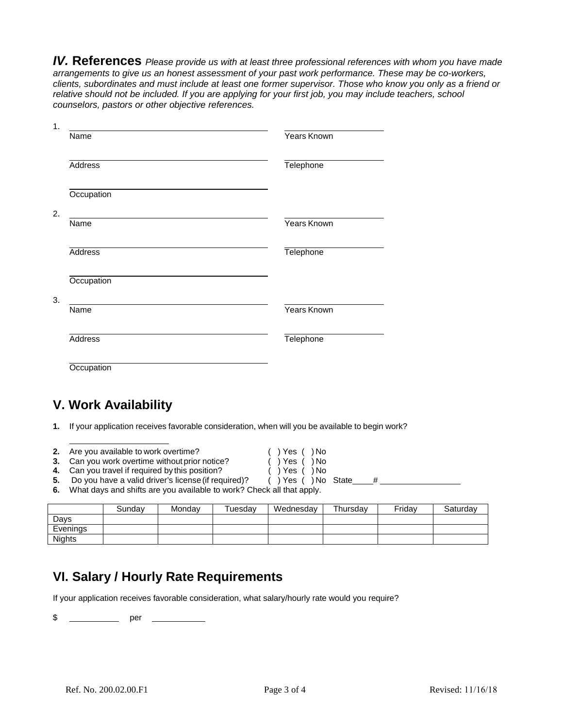*IV.* **References** *Please provide us with at least three professional references with whom you have made arrangements to give us an honest assessment of your past work performance. These may be co-workers, clients, subordinates and must include at least one former supervisor. Those who know you only as a friend or relative should not be included. If you are applying for your first job, you may include teachers, school counselors, pastors or other objective references.*

| Name              | Years Known |
|-------------------|-------------|
| <b>Address</b>    | Telephone   |
| Occupation        |             |
| Name              | Years Known |
|                   |             |
| <b>Address</b>    | Telephone   |
| <b>Occupation</b> |             |
|                   |             |
| Name              | Years Known |
| <b>Address</b>    | Telephone   |

## **V. Work Availability**

**1.** If your application receives favorable consideration, when will you be available to begin work?

| <b>2.</b> Are you available to work overtime? | $( )$ Yes $( )$ No |
|-----------------------------------------------|--------------------|
|                                               |                    |

**3.** Can you work overtime without prior notice? ( ) Yes ( ) No

**4.** Can you travel if required by this position? ( ) Yes ( ) No

- **5.** Do you have a valid driver's license (if required)? ( ) Yes ( ) No State\_\_\_\_#
- **6.** What days and shifts are you available to work? Check all that apply.

|               | Sundav | Mondav | Tuesdav | Wednesdav | Thursdav | Fridav | Saturdav |
|---------------|--------|--------|---------|-----------|----------|--------|----------|
| Davs          |        |        |         |           |          |        |          |
| Evenings      |        |        |         |           |          |        |          |
| <b>Nights</b> |        |        |         |           |          |        |          |

## **VI. Salary / Hourly Rate Requirements**

If your application receives favorable consideration, what salary/hourly rate would you require?

\$ \_\_\_\_\_\_\_\_\_\_\_\_\_\_\_ per \_\_\_\_\_\_\_\_\_